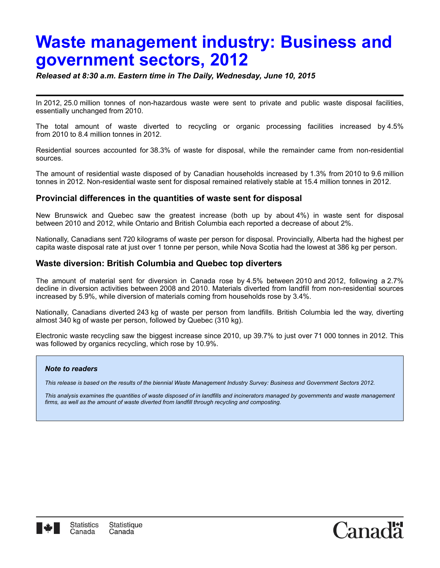## **Waste management industry: Business and government sectors, 2012**

*Released at 8:30 a.m. Eastern time in The Daily, Wednesday, June 10, 2015*

In 2012, 25.0 million tonnes of non-hazardous waste were sent to private and public waste disposal facilities, essentially unchanged from 2010.

The total amount of waste diverted to recycling or organic processing facilities increased by 4.5% from 2010 to 8.4 million tonnes in 2012.

Residential sources accounted for 38.3% of waste for disposal, while the remainder came from non-residential sources.

The amount of residential waste disposed of by Canadian households increased by 1.3% from 2010 to 9.6 million tonnes in 2012. Non-residential waste sent for disposal remained relatively stable at 15.4 million tonnes in 2012.

## **Provincial differences in the quantities of waste sent for disposal**

New Brunswick and Quebec saw the greatest increase (both up by about 4%) in waste sent for disposal between 2010 and 2012, while Ontario and British Columbia each reported a decrease of about 2%.

Nationally, Canadians sent 720 kilograms of waste per person for disposal. Provincially, Alberta had the highest per capita waste disposal rate at just over 1 tonne per person, while Nova Scotia had the lowest at 386 kg per person.

## **Waste diversion: British Columbia and Quebec top diverters**

The amount of material sent for diversion in Canada rose by 4.5% between 2010 and 2012, following a 2.7% decline in diversion activities between 2008 and 2010. Materials diverted from landfill from non-residential sources increased by 5.9%, while diversion of materials coming from households rose by 3.4%.

Nationally, Canadians diverted 243 kg of waste per person from landfills. British Columbia led the way, diverting almost 340 kg of waste per person, followed by Quebec (310 kg).

Electronic waste recycling saw the biggest increase since 2010, up 39.7% to just over 71 000 tonnes in 2012. This was followed by organics recycling, which rose by 10.9%.

## *Note to readers*

*This release is based on the results of the biennial Waste Management Industry Survey: Business and Government Sectors 2012.*

*This analysis examines the quantities of waste disposed of in landfills and incinerators managed by governments and waste management firms, as well as the amount of waste diverted from landfill through recycling and composting.*

Canac